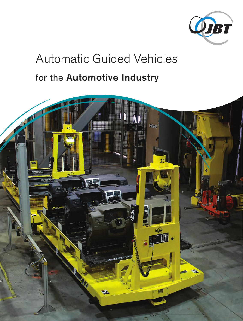

# Automatic Guided Vehicles

# for the Automotive Industry

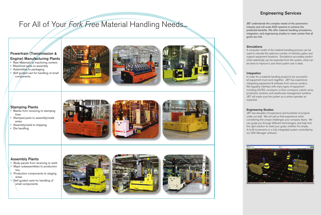## Stamping Plants

- Blanks from receiving to stamping lines
- Stamped parts to assembly/weld areas
- Assembly/weld to shipping
- Die handling







### Assembly Plants

- Body panels from receiving to weld
- Major subassemblies to production line
- Production components to staging areas
- Self guided carts for handling of small components



# Engineering Services

JBT understands the complex needs of the automotive industry and will scale AGV systems to achieve the predicted benefits. We offer material handling simulations, integration, and engineering studies to make certain that all goals are met.

#### **Simulations**

A computer model of the material handling process can be used to indicate the optimum number of vehicles, paths, and support equipment locations. Simulations accurately predict what realistically can be expected from the system, what can be done to improve it, and what system size is ideal.

#### Integration

In order for a material handling project to be successful all equipment must work together. JBT has experience integrating equipment & software from various vendors. We regularly interface with many types of equipment including AS/RS, conveyors, in-floor conveyors, robotic arms, production systems, and warehouse management systems. JBT will make sure the system as a whole operates as expected.

#### Engineering Studies

JBT has decades of experience and hundreds of projects under our belt. We will call on that experience when considering the unique challenges your company faces. We can guide you through different technologies, and help find the right solution to meet your goals, whether it's simple, A-to-B movements or a fully integrated system controlled by our SGV Manager software.



# For All of Your Fork Free Material Handling Needs...

# Powertrain (Transmission & Engine) Manufacturing Plants

- Raw Materials to machining centers
- Machined parts to assembly
- Assemblies to packaging
- Self guided cart for handling of small components